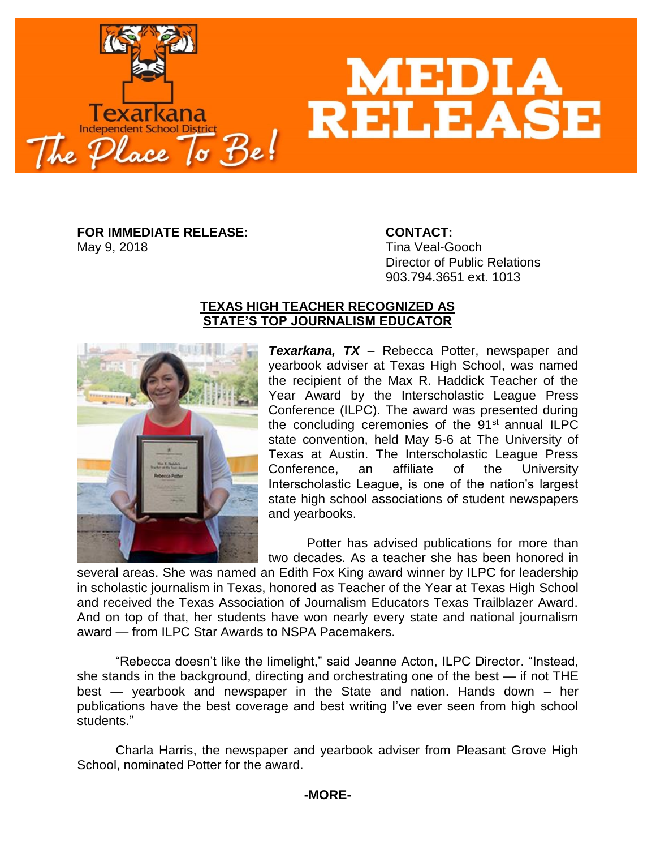

## **MEDIA<br>RELEAS**

**FOR IMMEDIATE RELEASE: CONTACT:** May 9, 2018 **May 9, 2018** Tina Veal-Gooch

Director of Public Relations 903.794.3651 ext. 1013

## **TEXAS HIGH TEACHER RECOGNIZED AS STATE'S TOP JOURNALISM EDUCATOR**



*Texarkana, TX* – Rebecca Potter, newspaper and yearbook adviser at Texas High School, was named the recipient of the Max R. Haddick Teacher of the Year Award by the Interscholastic League Press Conference (ILPC). The award was presented during the concluding ceremonies of the 91<sup>st</sup> annual ILPC state convention, held May 5-6 at The University of Texas at Austin. The Interscholastic League Press Conference, an affiliate of the University Interscholastic League, is one of the nation's largest state high school associations of student newspapers and yearbooks.

Potter has advised publications for more than two decades. As a teacher she has been honored in

several areas. She was named an Edith Fox King award winner by ILPC for leadership in scholastic journalism in Texas, honored as Teacher of the Year at Texas High School and received the Texas Association of Journalism Educators Texas Trailblazer Award. And on top of that, her students have won nearly every state and national journalism award — from ILPC Star Awards to NSPA Pacemakers.

"Rebecca doesn't like the limelight," said Jeanne Acton, ILPC Director. "Instead, she stands in the background, directing and orchestrating one of the best — if not THE best — yearbook and newspaper in the State and nation. Hands down – her publications have the best coverage and best writing I've ever seen from high school students."

Charla Harris, the newspaper and yearbook adviser from Pleasant Grove High School, nominated Potter for the award.